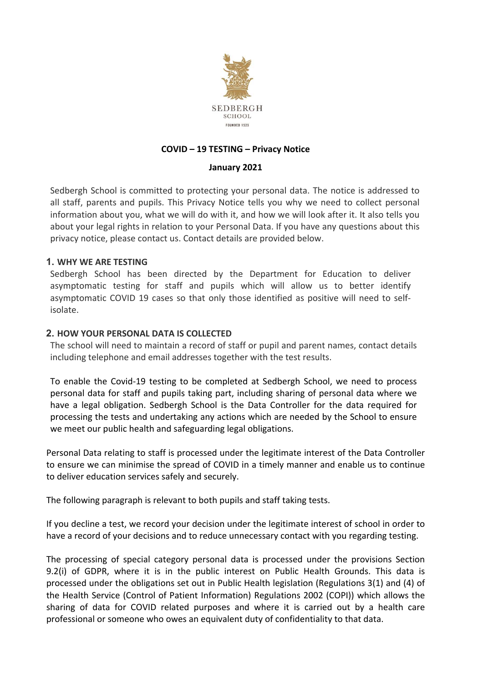

# **COVID – 19 TESTING – Privacy Notice**

### **January 2021**

Sedbergh School is committed to protecting your personal data. The notice is addressed to all staff, parents and pupils. This Privacy Notice tells you why we need to collect personal information about you, what we will do with it, and how we will look after it. It also tells you about your legal rights in relation to your Personal Data. If you have any questions about this privacy notice, please contact us. Contact details are provided below.

## **1. WHY WE ARE TESTING**

Sedbergh School has been directed by the Department for Education to deliver asymptomatic testing for staff and pupils which will allow us to better identify asymptomatic COVID 19 cases so that only those identified as positive will need to selfisolate.

## **2. HOW YOUR PERSONAL DATA IS COLLECTED**

The school will need to maintain a record of staff or pupil and parent names, contact details including telephone and email addresses together with the test results.

To enable the Covid-19 testing to be completed at Sedbergh School, we need to process personal data for staff and pupils taking part, including sharing of personal data where we have a legal obligation. Sedbergh School is the Data Controller for the data required for processing the tests and undertaking any actions which are needed by the School to ensure we meet our public health and safeguarding legal obligations.

Personal Data relating to staff is processed under the legitimate interest of the Data Controller to ensure we can minimise the spread of COVID in a timely manner and enable us to continue to deliver education services safely and securely.

The following paragraph is relevant to both pupils and staff taking tests.

If you decline a test, we record your decision under the legitimate interest of school in order to have a record of your decisions and to reduce unnecessary contact with you regarding testing.

The processing of special category personal data is processed under the provisions Section 9.2(i) of GDPR, where it is in the public interest on Public Health Grounds. This data is processed under the obligations set out in Public Health legislation (Regulations 3(1) and (4) of the Health Service (Control of Patient Information) Regulations 2002 (COPI)) which allows the sharing of data for COVID related purposes and where it is carried out by a health care professional or someone who owes an equivalent duty of confidentiality to that data.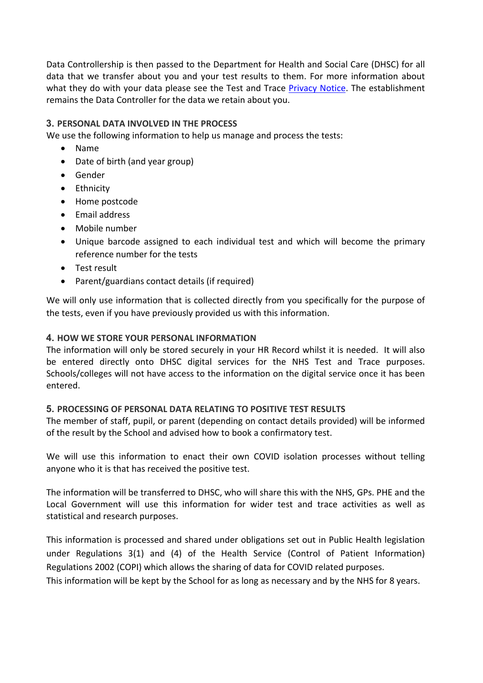Data Controllership is then passed to the Department for Health and Social Care (DHSC) for all data that we transfer about you and your test results to them. For more information about what they do with your data please see the Test and Trace Privacy Notice. The establishment remains the Data Controller for the data we retain about you.

## **3. PERSONAL DATA INVOLVED IN THE PROCESS**

We use the following information to help us manage and process the tests:

- Name
- Date of birth (and year group)
- Gender
- Ethnicity
- Home postcode
- Email address
- Mobile number
- Unique barcode assigned to each individual test and which will become the primary reference number for the tests
- Test result
- Parent/guardians contact details (if required)

We will only use information that is collected directly from you specifically for the purpose of the tests, even if you have previously provided us with this information.

## **4. HOW WE STORE YOUR PERSONAL INFORMATION**

The information will only be stored securely in your HR Record whilst it is needed. It will also be entered directly onto DHSC digital services for the NHS Test and Trace purposes. Schools/colleges will not have access to the information on the digital service once it has been entered.

### **5. PROCESSING OF PERSONAL DATA RELATING TO POSITIVE TEST RESULTS**

The member of staff, pupil, or parent (depending on contact details provided) will be informed of the result by the School and advised how to book a confirmatory test.

We will use this information to enact their own COVID isolation processes without telling anyone who it is that has received the positive test.

The information will be transferred to DHSC, who will share this with the NHS, GPs. PHE and the Local Government will use this information for wider test and trace activities as well as statistical and research purposes.

This information is processed and shared under obligations set out in Public Health legislation under Regulations 3(1) and (4) of the Health Service (Control of Patient Information) Regulations 2002 (COPI) which allows the sharing of data for COVID related purposes. This information will be kept by the School for as long as necessary and by the NHS for 8 years.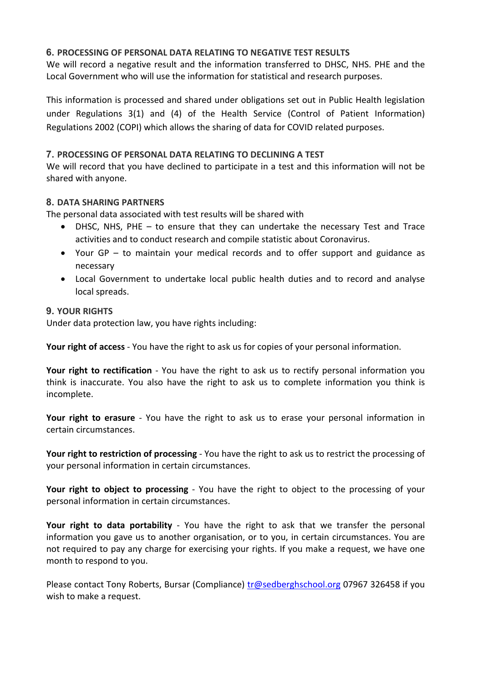# **6. PROCESSING OF PERSONAL DATA RELATING TO NEGATIVE TEST RESULTS**

We will record a negative result and the information transferred to DHSC, NHS. PHE and the Local Government who will use the information for statistical and research purposes.

This information is processed and shared under obligations set out in Public Health legislation under Regulations 3(1) and (4) of the Health Service (Control of Patient Information) Regulations 2002 (COPI) which allows the sharing of data for COVID related purposes.

## **7. PROCESSING OF PERSONAL DATA RELATING TO DECLINING A TEST**

We will record that you have declined to participate in a test and this information will not be shared with anyone.

## **8. DATA SHARING PARTNERS**

The personal data associated with test results will be shared with

- DHSC, NHS, PHE  $-$  to ensure that they can undertake the necessary Test and Trace activities and to conduct research and compile statistic about Coronavirus.
- Your GP to maintain your medical records and to offer support and guidance as necessary
- Local Government to undertake local public health duties and to record and analyse local spreads.

## **9. YOUR RIGHTS**

Under data protection law, you have rights including:

**Your right of access** - You have the right to ask us for copies of your personal information.

**Your right to rectification** - You have the right to ask us to rectify personal information you think is inaccurate. You also have the right to ask us to complete information you think is incomplete.

**Your right to erasure** - You have the right to ask us to erase your personal information in certain circumstances.

**Your right to restriction of processing** - You have the right to ask us to restrict the processing of your personal information in certain circumstances.

**Your right to object to processing** - You have the right to object to the processing of your personal information in certain circumstances.

**Your right to data portability** - You have the right to ask that we transfer the personal information you gave us to another organisation, or to you, in certain circumstances. You are not required to pay any charge for exercising your rights. If you make a request, we have one month to respond to you.

Please contact Tony Roberts, Bursar (Compliance) tr@sedberghschool.org 07967 326458 if you wish to make a request.